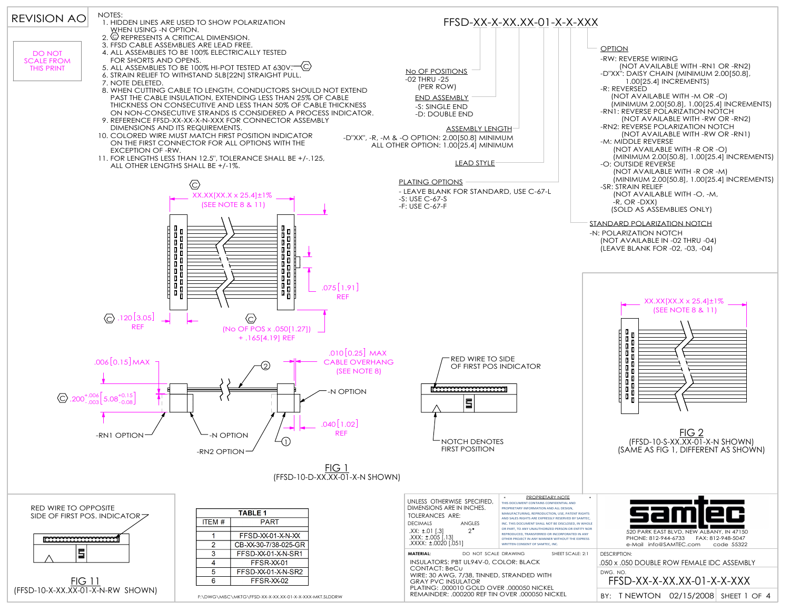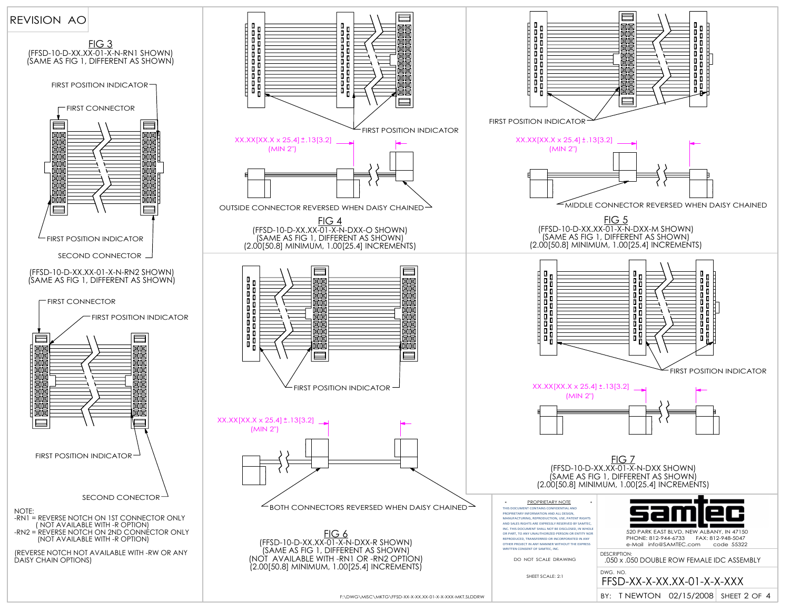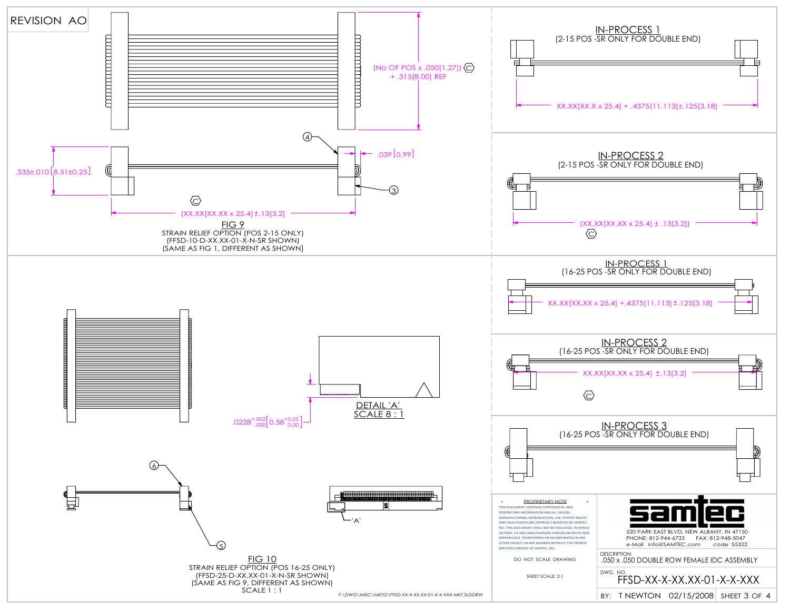